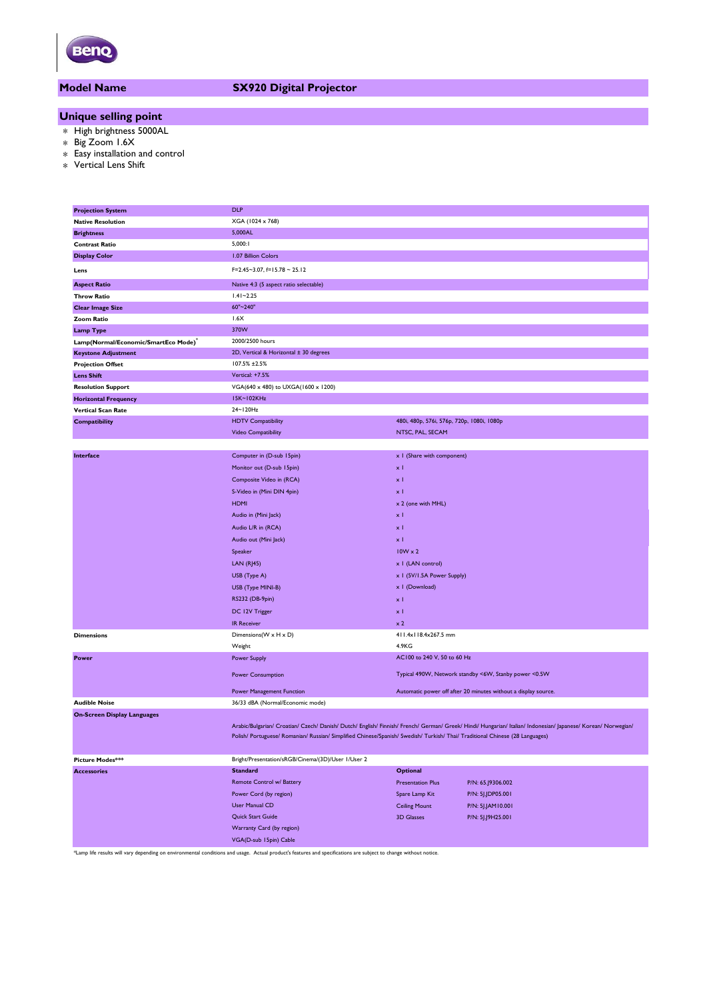

#### **Model Name SX920 Digital Projector**

### **Unique selling point**

- \* High brightness 5000AL
- \* Big Zoom 1.6X
- \* Easy installation and control
- \* Vertical Lens Shift

| <b>Projection System</b>            | <b>DLP</b>                                                                                                                    |                                                       |                                                                                                                                                                |  |  |  |
|-------------------------------------|-------------------------------------------------------------------------------------------------------------------------------|-------------------------------------------------------|----------------------------------------------------------------------------------------------------------------------------------------------------------------|--|--|--|
| <b>Native Resolution</b>            | XGA (1024 x 768)                                                                                                              |                                                       |                                                                                                                                                                |  |  |  |
| <b>Brightness</b>                   | 5,000AL                                                                                                                       |                                                       |                                                                                                                                                                |  |  |  |
| <b>Contrast Ratio</b>               | 5,000:1                                                                                                                       |                                                       |                                                                                                                                                                |  |  |  |
| <b>Display Color</b>                | 1.07 Billion Colors                                                                                                           |                                                       |                                                                                                                                                                |  |  |  |
| Lens                                | $F=2.45-3.07$ , $f=15.78-25.12$                                                                                               |                                                       |                                                                                                                                                                |  |  |  |
| <b>Aspect Ratio</b>                 | Native 4:3 (5 aspect ratio selectable)                                                                                        |                                                       |                                                                                                                                                                |  |  |  |
| <b>Throw Ratio</b>                  | $1.41 - 2.25$                                                                                                                 |                                                       |                                                                                                                                                                |  |  |  |
| <b>Clear Image Size</b>             | 60"~240"                                                                                                                      |                                                       |                                                                                                                                                                |  |  |  |
| <b>Zoom Ratio</b>                   | 1.6X                                                                                                                          |                                                       |                                                                                                                                                                |  |  |  |
| <b>Lamp Type</b>                    | 370W                                                                                                                          |                                                       |                                                                                                                                                                |  |  |  |
| Lamp(Normal/Economic/SmartEco Mode) | 2000/2500 hours                                                                                                               |                                                       |                                                                                                                                                                |  |  |  |
| <b>Keystone Adjustment</b>          | 2D, Vertical & Horizontal ± 30 degrees                                                                                        |                                                       |                                                                                                                                                                |  |  |  |
| <b>Projection Offset</b>            | 107.5% ±2.5%                                                                                                                  |                                                       |                                                                                                                                                                |  |  |  |
| <b>Lens Shift</b>                   | Vertical: +7.5%                                                                                                               |                                                       |                                                                                                                                                                |  |  |  |
| <b>Resolution Support</b>           | VGA(640 x 480) to UXGA(1600 x 1200)                                                                                           |                                                       |                                                                                                                                                                |  |  |  |
| <b>Horizontal Frequency</b>         | 15K~102KHz                                                                                                                    |                                                       |                                                                                                                                                                |  |  |  |
| Vertical Scan Rate                  | 24~120Hz                                                                                                                      |                                                       |                                                                                                                                                                |  |  |  |
| <b>Compatibility</b>                | <b>HDTV Compatibility</b>                                                                                                     | 480i, 480p, 576i, 576p, 720p, 1080i, 1080p            |                                                                                                                                                                |  |  |  |
|                                     | Video Compatibility                                                                                                           | NTSC, PAL, SECAM                                      |                                                                                                                                                                |  |  |  |
|                                     |                                                                                                                               |                                                       |                                                                                                                                                                |  |  |  |
|                                     | Computer in (D-sub 15pin)                                                                                                     | x I (Share with component)                            |                                                                                                                                                                |  |  |  |
| Interface                           |                                                                                                                               |                                                       |                                                                                                                                                                |  |  |  |
|                                     | Monitor out (D-sub 15pin)                                                                                                     | $\times$ 1                                            |                                                                                                                                                                |  |  |  |
|                                     | Composite Video in (RCA)                                                                                                      | x <sub>1</sub>                                        |                                                                                                                                                                |  |  |  |
|                                     | S-Video in (Mini DIN 4pin)                                                                                                    | $\times$ 1                                            |                                                                                                                                                                |  |  |  |
|                                     | <b>HDMI</b>                                                                                                                   | x 2 (one with MHL)                                    |                                                                                                                                                                |  |  |  |
|                                     | Audio in (Mini Jack)                                                                                                          | $\times$ 1                                            |                                                                                                                                                                |  |  |  |
|                                     | Audio L/R in (RCA)                                                                                                            | $\times$ 1                                            |                                                                                                                                                                |  |  |  |
|                                     | Audio out (Mini Jack)                                                                                                         | x <sub>1</sub>                                        |                                                                                                                                                                |  |  |  |
|                                     | Speaker                                                                                                                       | $10W \times 2$                                        |                                                                                                                                                                |  |  |  |
|                                     | <b>LAN (RJ45)</b>                                                                                                             | x   (LAN control)                                     |                                                                                                                                                                |  |  |  |
|                                     | USB (Type A)                                                                                                                  | x 1 (5V/1.5A Power Supply)                            |                                                                                                                                                                |  |  |  |
|                                     | USB (Type MINI-B)                                                                                                             | x I (Download)                                        |                                                                                                                                                                |  |  |  |
|                                     | RS232 (DB-9pin)                                                                                                               | $\times$ 1                                            |                                                                                                                                                                |  |  |  |
|                                     | DC 12V Trigger                                                                                                                | $\times$ 1                                            |                                                                                                                                                                |  |  |  |
|                                     | <b>IR Receiver</b>                                                                                                            | $\times 2$                                            |                                                                                                                                                                |  |  |  |
| <b>Dimensions</b>                   | Dimensions(W x H x D)                                                                                                         | 411.4x118.4x267.5 mm                                  |                                                                                                                                                                |  |  |  |
|                                     | Weight                                                                                                                        | 4.9KG                                                 |                                                                                                                                                                |  |  |  |
| Power                               | Power Supply                                                                                                                  | AC100 to 240 V, 50 to 60 Hz                           |                                                                                                                                                                |  |  |  |
|                                     |                                                                                                                               |                                                       |                                                                                                                                                                |  |  |  |
|                                     | Power Consumption                                                                                                             | Typical 490W, Network standby <6W, Stanby power <0.5W |                                                                                                                                                                |  |  |  |
|                                     | <b>Power Management Function</b>                                                                                              |                                                       | Automatic power off after 20 minutes without a display source.                                                                                                 |  |  |  |
| <b>Audible Noise</b>                | 36/33 dBA (Normal/Economic mode)                                                                                              |                                                       |                                                                                                                                                                |  |  |  |
| <b>On-Screen Display Languages</b>  |                                                                                                                               |                                                       |                                                                                                                                                                |  |  |  |
|                                     |                                                                                                                               |                                                       | Arabic/Bulgarian/ Croatian/ Czech/ Danish/ Dutch/ English/ Finnish/ French/ German/ Greek/ Hindi/ Hungarian/ Italian/ Indonesian/ Japanese/ Korean/ Norwegian/ |  |  |  |
|                                     | Polish/ Portuguese/ Romanian/ Russian/ Simplified Chinese/Spanish/ Swedish/ Turkish/ Thai/ Traditional Chinese (28 Languages) |                                                       |                                                                                                                                                                |  |  |  |
|                                     |                                                                                                                               |                                                       |                                                                                                                                                                |  |  |  |
| Picture Modes***                    | Bright/Presentation/sRGB/Cinema/(3D)/User 1/User 2                                                                            |                                                       |                                                                                                                                                                |  |  |  |
| <b>Accessories</b>                  | <b>Standard</b><br>Optional                                                                                                   |                                                       |                                                                                                                                                                |  |  |  |
|                                     | Remote Control w/ Battery                                                                                                     | <b>Presentation Plus</b>                              | P/N: 65.J9306.002                                                                                                                                              |  |  |  |
|                                     | Power Cord (by region)                                                                                                        | Spare Lamp Kit                                        | P/N: 5J.JDP05.001                                                                                                                                              |  |  |  |
|                                     | User Manual CD                                                                                                                | <b>Ceiling Mount</b>                                  | P/N: 5J.JAM10.001                                                                                                                                              |  |  |  |
|                                     | Quick Start Guide                                                                                                             | <b>3D Glasses</b>                                     | P/N: 5J.J9H25.001                                                                                                                                              |  |  |  |
|                                     | Warranty Card (by region)                                                                                                     |                                                       |                                                                                                                                                                |  |  |  |
|                                     |                                                                                                                               |                                                       |                                                                                                                                                                |  |  |  |
|                                     | VGA(D-sub 15pin) Cable                                                                                                        |                                                       |                                                                                                                                                                |  |  |  |

\*Lamp life results will vary depending on environmental conditions and usage. Actual product's features and specifications are subject to change without notice.